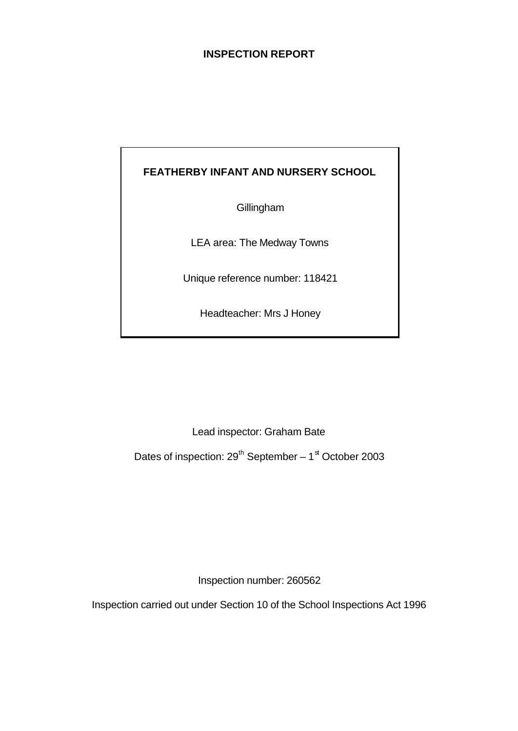# **INSPECTION REPORT**

# **FEATHERBY INFANT AND NURSERY SCHOOL**

**Gillingham** 

LEA area: The Medway Towns

Unique reference number: 118421

Headteacher: Mrs J Honey

Lead inspector: Graham Bate

Dates of inspection: 29<sup>th</sup> September – 1<sup>st</sup> October 2003

Inspection number: 260562

Inspection carried out under Section 10 of the School Inspections Act 1996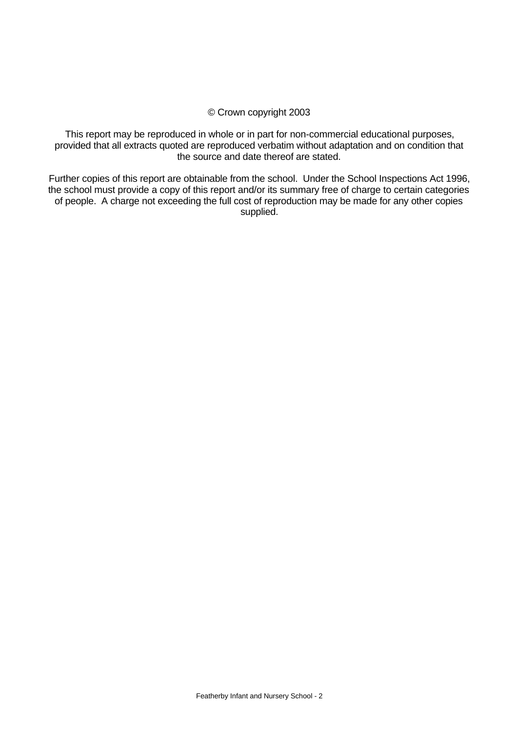#### © Crown copyright 2003

This report may be reproduced in whole or in part for non-commercial educational purposes, provided that all extracts quoted are reproduced verbatim without adaptation and on condition that the source and date thereof are stated.

Further copies of this report are obtainable from the school. Under the School Inspections Act 1996, the school must provide a copy of this report and/or its summary free of charge to certain categories of people. A charge not exceeding the full cost of reproduction may be made for any other copies supplied.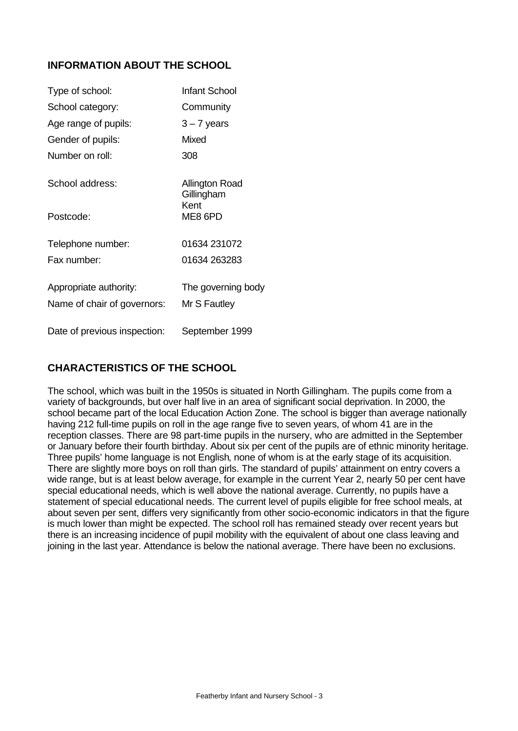# **INFORMATION ABOUT THE SCHOOL**

| Type of school:              | <b>Infant School</b>         |
|------------------------------|------------------------------|
| School category:             | Community                    |
| Age range of pupils:         | $3 - 7$ years                |
| Gender of pupils:            | Mixed                        |
| Number on roll:              | 308                          |
| School address:              | Allington Road<br>Gillingham |
| Postcode:                    | Kent<br>ME8 6PD              |
| Telephone number:            | 01634 231072                 |
| Fax number:                  | 01634 263283                 |
| Appropriate authority:       | The governing body           |
| Name of chair of governors:  | Mr S Fautley                 |
| Date of previous inspection: | September 1999               |

# **CHARACTERISTICS OF THE SCHOOL**

The school, which was built in the 1950s is situated in North Gillingham. The pupils come from a variety of backgrounds, but over half live in an area of significant social deprivation. In 2000, the school became part of the local Education Action Zone. The school is bigger than average nationally having 212 full-time pupils on roll in the age range five to seven years, of whom 41 are in the reception classes. There are 98 part-time pupils in the nursery, who are admitted in the September or January before their fourth birthday. About six per cent of the pupils are of ethnic minority heritage. Three pupils' home language is not English, none of whom is at the early stage of its acquisition. There are slightly more boys on roll than girls. The standard of pupils' attainment on entry covers a wide range, but is at least below average, for example in the current Year 2, nearly 50 per cent have special educational needs, which is well above the national average. Currently, no pupils have a statement of special educational needs. The current level of pupils eligible for free school meals, at about seven per sent, differs very significantly from other socio-economic indicators in that the figure is much lower than might be expected. The school roll has remained steady over recent years but there is an increasing incidence of pupil mobility with the equivalent of about one class leaving and joining in the last year. Attendance is below the national average. There have been no exclusions.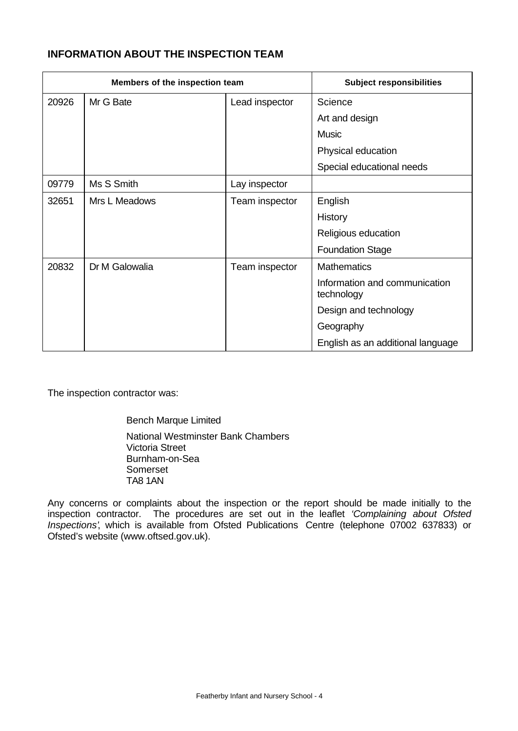# **INFORMATION ABOUT THE INSPECTION TEAM**

| Members of the inspection team |                |                | <b>Subject responsibilities</b>             |
|--------------------------------|----------------|----------------|---------------------------------------------|
| 20926                          | Mr G Bate      | Lead inspector | Science                                     |
|                                |                |                | Art and design                              |
|                                |                |                | <b>Music</b>                                |
|                                |                |                | Physical education                          |
|                                |                |                | Special educational needs                   |
| 09779                          | Ms S Smith     | Lay inspector  |                                             |
| 32651                          | Mrs L Meadows  | Team inspector | English                                     |
|                                |                |                | <b>History</b>                              |
|                                |                |                | Religious education                         |
|                                |                |                | <b>Foundation Stage</b>                     |
| 20832                          | Dr M Galowalia | Team inspector | <b>Mathematics</b>                          |
|                                |                |                | Information and communication<br>technology |
|                                |                |                | Design and technology                       |
|                                |                |                | Geography                                   |
|                                |                |                | English as an additional language           |

The inspection contractor was:

Bench Marque Limited National Westminster Bank Chambers Victoria Street Burnham-on-Sea Somerset TA8 1AN

Any concerns or complaints about the inspection or the report should be made initially to the inspection contractor. The procedures are set out in the leaflet *'Complaining about Ofsted Inspections'*, which is available from Ofsted Publications Centre (telephone 07002 637833) or Ofsted's website (www.oftsed.gov.uk).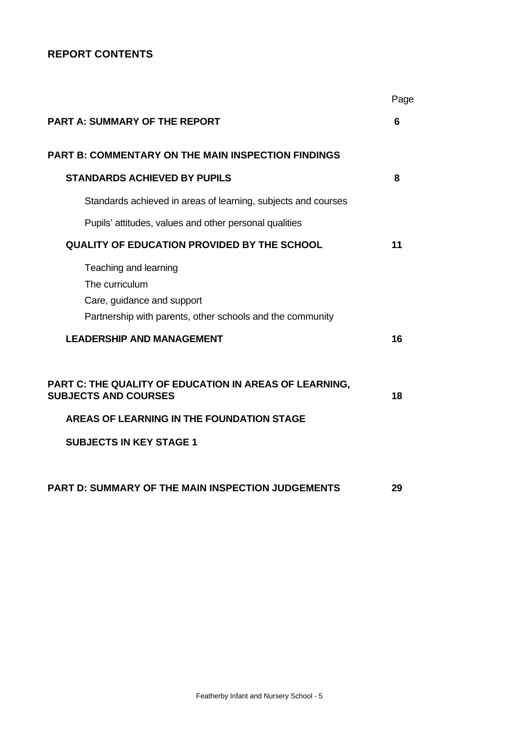# **REPORT CONTENTS**

|                                                                                                                                    | Page |
|------------------------------------------------------------------------------------------------------------------------------------|------|
| <b>PART A: SUMMARY OF THE REPORT</b>                                                                                               | 6    |
| <b>PART B: COMMENTARY ON THE MAIN INSPECTION FINDINGS</b>                                                                          |      |
| <b>STANDARDS ACHIEVED BY PUPILS</b>                                                                                                | 8    |
| Standards achieved in areas of learning, subjects and courses                                                                      |      |
| Pupils' attitudes, values and other personal qualities                                                                             |      |
| <b>QUALITY OF EDUCATION PROVIDED BY THE SCHOOL</b>                                                                                 | 11   |
| Teaching and learning<br>The curriculum<br>Care, guidance and support<br>Partnership with parents, other schools and the community |      |
| <b>LEADERSHIP AND MANAGEMENT</b>                                                                                                   | 16   |
| PART C: THE QUALITY OF EDUCATION IN AREAS OF LEARNING,<br><b>SUBJECTS AND COURSES</b>                                              | 18   |
| <b>AREAS OF LEARNING IN THE FOUNDATION STAGE</b>                                                                                   |      |
| <b>SUBJECTS IN KEY STAGE 1</b>                                                                                                     |      |
| PART D: SUMMARY OF THE MAIN INSPECTION JUDGEMENTS                                                                                  | 29   |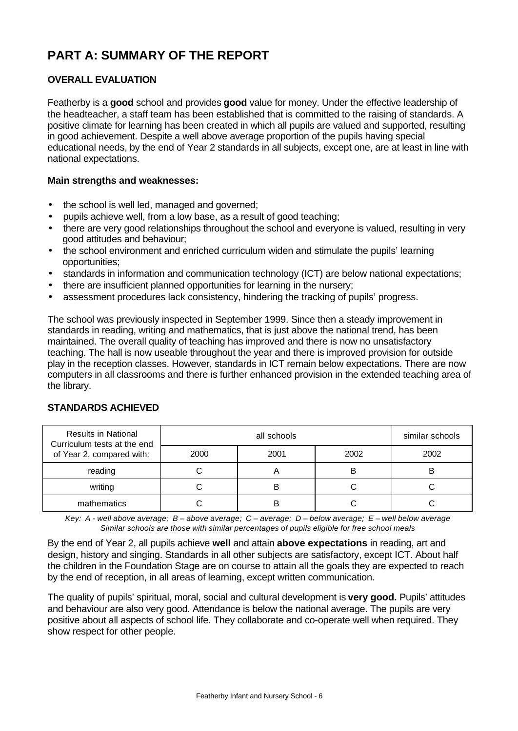# **PART A: SUMMARY OF THE REPORT**

# **OVERALL EVALUATION**

Featherby is a **good** school and provides **good** value for money. Under the effective leadership of the headteacher, a staff team has been established that is committed to the raising of standards. A positive climate for learning has been created in which all pupils are valued and supported, resulting in good achievement. Despite a well above average proportion of the pupils having special educational needs, by the end of Year 2 standards in all subjects, except one, are at least in line with national expectations.

#### **Main strengths and weaknesses:**

- the school is well led, managed and governed;
- pupils achieve well, from a low base, as a result of good teaching;
- there are very good relationships throughout the school and everyone is valued, resulting in very good attitudes and behaviour;
- the school environment and enriched curriculum widen and stimulate the pupils' learning opportunities;
- standards in information and communication technology (ICT) are below national expectations;
- there are insufficient planned opportunities for learning in the nursery;
- assessment procedures lack consistency, hindering the tracking of pupils' progress.

The school was previously inspected in September 1999. Since then a steady improvement in standards in reading, writing and mathematics, that is just above the national trend, has been maintained. The overall quality of teaching has improved and there is now no unsatisfactory teaching. The hall is now useable throughout the year and there is improved provision for outside play in the reception classes. However, standards in ICT remain below expectations. There are now computers in all classrooms and there is further enhanced provision in the extended teaching area of the library.

| <b>Results in National</b><br>Curriculum tests at the end |      | similar schools |      |      |
|-----------------------------------------------------------|------|-----------------|------|------|
| of Year 2, compared with:                                 | 2000 | 2001            | 2002 | 2002 |
| reading                                                   |      |                 | в    |      |
| writing                                                   |      | В               |      |      |
| mathematics                                               |      | В               |      |      |

# **STANDARDS ACHIEVED**

*Key: A - well above average; B – above average; C – average; D – below average; E – well below average Similar schools are those with similar percentages of pupils eligible for free school meals*

By the end of Year 2, all pupils achieve **well** and attain **above expectations** in reading, art and design, history and singing. Standards in all other subjects are satisfactory, except ICT. About half the children in the Foundation Stage are on course to attain all the goals they are expected to reach by the end of reception, in all areas of learning, except written communication.

The quality of pupils' spiritual, moral, social and cultural development is **very good.** Pupils' attitudes and behaviour are also very good. Attendance is below the national average. The pupils are very positive about all aspects of school life. They collaborate and co-operate well when required. They show respect for other people.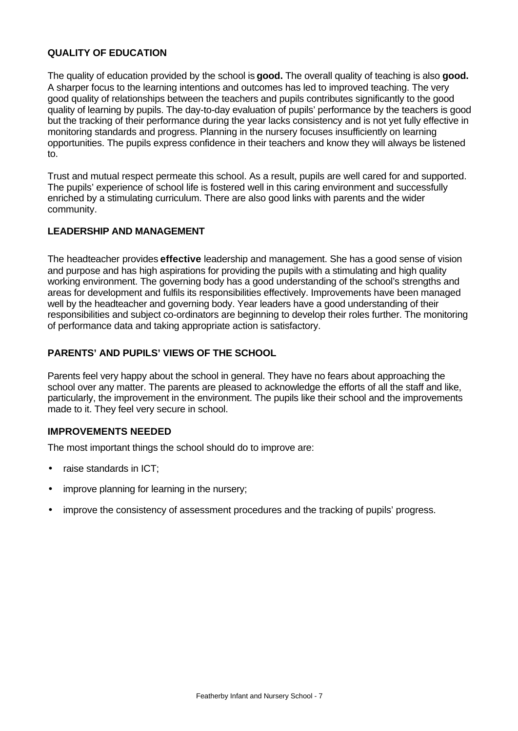### **QUALITY OF EDUCATION**

The quality of education provided by the school is **good.** The overall quality of teaching is also **good.** A sharper focus to the learning intentions and outcomes has led to improved teaching. The very good quality of relationships between the teachers and pupils contributes significantly to the good quality of learning by pupils. The day-to-day evaluation of pupils' performance by the teachers is good but the tracking of their performance during the year lacks consistency and is not yet fully effective in monitoring standards and progress. Planning in the nursery focuses insufficiently on learning opportunities. The pupils express confidence in their teachers and know they will always be listened to.

Trust and mutual respect permeate this school. As a result, pupils are well cared for and supported. The pupils' experience of school life is fostered well in this caring environment and successfully enriched by a stimulating curriculum. There are also good links with parents and the wider community.

#### **LEADERSHIP AND MANAGEMENT**

The headteacher provides **effective** leadership and management. She has a good sense of vision and purpose and has high aspirations for providing the pupils with a stimulating and high quality working environment. The governing body has a good understanding of the school's strengths and areas for development and fulfils its responsibilities effectively. Improvements have been managed well by the headteacher and governing body. Year leaders have a good understanding of their responsibilities and subject co-ordinators are beginning to develop their roles further. The monitoring of performance data and taking appropriate action is satisfactory.

### **PARENTS' AND PUPILS' VIEWS OF THE SCHOOL**

Parents feel very happy about the school in general. They have no fears about approaching the school over any matter. The parents are pleased to acknowledge the efforts of all the staff and like, particularly, the improvement in the environment. The pupils like their school and the improvements made to it. They feel very secure in school.

#### **IMPROVEMENTS NEEDED**

The most important things the school should do to improve are:

- raise standards in ICT;
- improve planning for learning in the nursery;
- improve the consistency of assessment procedures and the tracking of pupils' progress.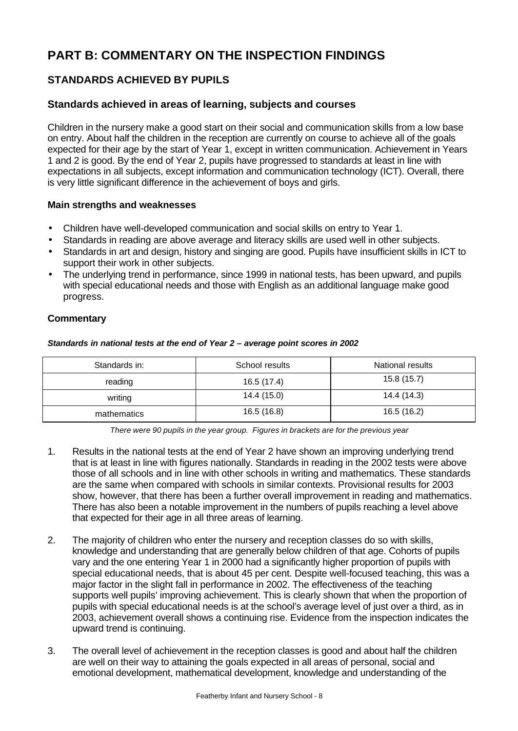# **PART B: COMMENTARY ON THE INSPECTION FINDINGS**

# **STANDARDS ACHIEVED BY PUPILS**

# **Standards achieved in areas of learning, subjects and courses**

Children in the nursery make a good start on their social and communication skills from a low base on entry. About half the children in the reception are currently on course to achieve all of the goals expected for their age by the start of Year 1, except in written communication. Achievement in Years 1 and 2 is good. By the end of Year 2, pupils have progressed to standards at least in line with expectations in all subjects, except information and communication technology (ICT). Overall, there is very little significant difference in the achievement of boys and girls.

#### **Main strengths and weaknesses**

- Children have well-developed communication and social skills on entry to Year 1.
- Standards in reading are above average and literacy skills are used well in other subjects.
- Standards in art and design, history and singing are good. Pupils have insufficient skills in ICT to support their work in other subjects.
- The underlying trend in performance, since 1999 in national tests, has been upward, and pupils with special educational needs and those with English as an additional language make good progress.

### **Commentary**

| Standards in: | School results | National results |
|---------------|----------------|------------------|
| reading       | 16.5 (17.4)    | 15.8 (15.7)      |
| writing       | 14.4 (15.0)    | 14.4(14.3)       |
| mathematics   | 16.5(16.8)     | 16.5 (16.2)      |

*There were 90 pupils in the year group. Figures in brackets are for the previous year*

- 1. Results in the national tests at the end of Year 2 have shown an improving underlying trend that is at least in line with figures nationally. Standards in reading in the 2002 tests were above those of all schools and in line with other schools in writing and mathematics. These standards are the same when compared with schools in similar contexts. Provisional results for 2003 show, however, that there has been a further overall improvement in reading and mathematics. There has also been a notable improvement in the numbers of pupils reaching a level above that expected for their age in all three areas of learning.
- 2. The majority of children who enter the nursery and reception classes do so with skills, knowledge and understanding that are generally below children of that age. Cohorts of pupils vary and the one entering Year 1 in 2000 had a significantly higher proportion of pupils with special educational needs, that is about 45 per cent. Despite well-focused teaching, this was a major factor in the slight fall in performance in 2002. The effectiveness of the teaching supports well pupils' improving achievement. This is clearly shown that when the proportion of pupils with special educational needs is at the school's average level of just over a third, as in 2003, achievement overall shows a continuing rise. Evidence from the inspection indicates the upward trend is continuing.
- 3. The overall level of achievement in the reception classes is good and about half the children are well on their way to attaining the goals expected in all areas of personal, social and emotional development, mathematical development, knowledge and understanding of the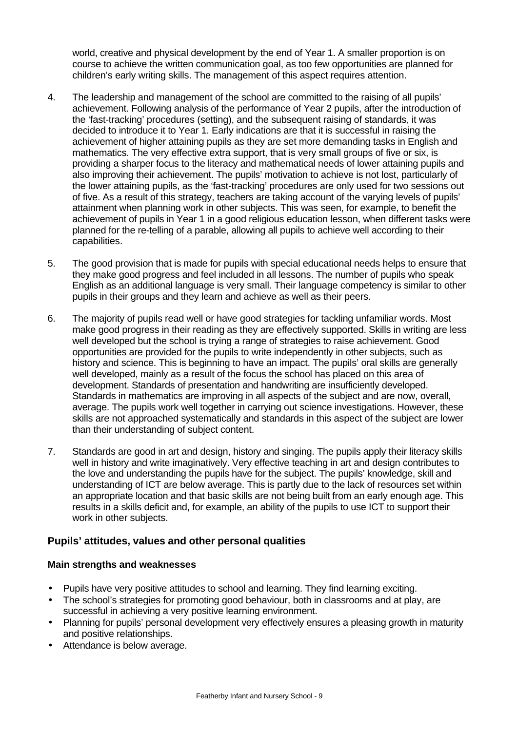world, creative and physical development by the end of Year 1. A smaller proportion is on course to achieve the written communication goal, as too few opportunities are planned for children's early writing skills. The management of this aspect requires attention.

- 4. The leadership and management of the school are committed to the raising of all pupils' achievement. Following analysis of the performance of Year 2 pupils, after the introduction of the 'fast-tracking' procedures (setting), and the subsequent raising of standards, it was decided to introduce it to Year 1. Early indications are that it is successful in raising the achievement of higher attaining pupils as they are set more demanding tasks in English and mathematics. The very effective extra support, that is very small groups of five or six, is providing a sharper focus to the literacy and mathematical needs of lower attaining pupils and also improving their achievement. The pupils' motivation to achieve is not lost, particularly of the lower attaining pupils, as the 'fast-tracking' procedures are only used for two sessions out of five. As a result of this strategy, teachers are taking account of the varying levels of pupils' attainment when planning work in other subjects. This was seen, for example, to benefit the achievement of pupils in Year 1 in a good religious education lesson, when different tasks were planned for the re-telling of a parable, allowing all pupils to achieve well according to their capabilities.
- 5. The good provision that is made for pupils with special educational needs helps to ensure that they make good progress and feel included in all lessons. The number of pupils who speak English as an additional language is very small. Their language competency is similar to other pupils in their groups and they learn and achieve as well as their peers.
- 6. The majority of pupils read well or have good strategies for tackling unfamiliar words. Most make good progress in their reading as they are effectively supported. Skills in writing are less well developed but the school is trying a range of strategies to raise achievement. Good opportunities are provided for the pupils to write independently in other subjects, such as history and science. This is beginning to have an impact. The pupils' oral skills are generally well developed, mainly as a result of the focus the school has placed on this area of development. Standards of presentation and handwriting are insufficiently developed. Standards in mathematics are improving in all aspects of the subject and are now, overall, average. The pupils work well together in carrying out science investigations. However, these skills are not approached systematically and standards in this aspect of the subject are lower than their understanding of subject content.
- 7. Standards are good in art and design, history and singing. The pupils apply their literacy skills well in history and write imaginatively. Very effective teaching in art and design contributes to the love and understanding the pupils have for the subject. The pupils' knowledge, skill and understanding of ICT are below average. This is partly due to the lack of resources set within an appropriate location and that basic skills are not being built from an early enough age. This results in a skills deficit and, for example, an ability of the pupils to use ICT to support their work in other subjects.

# **Pupils' attitudes, values and other personal qualities**

#### **Main strengths and weaknesses**

- Pupils have very positive attitudes to school and learning. They find learning exciting.
- The school's strategies for promoting good behaviour, both in classrooms and at play, are successful in achieving a very positive learning environment.
- Planning for pupils' personal development very effectively ensures a pleasing growth in maturity and positive relationships.
- Attendance is below average.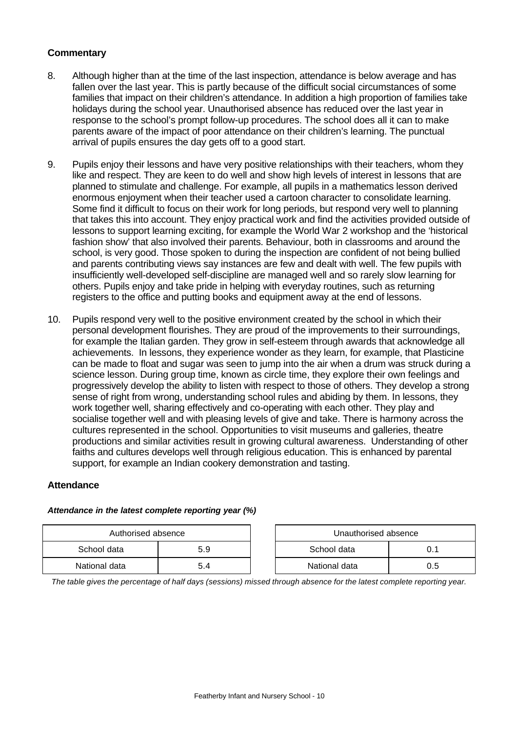### **Commentary**

- 8. Although higher than at the time of the last inspection, attendance is below average and has fallen over the last year. This is partly because of the difficult social circumstances of some families that impact on their children's attendance. In addition a high proportion of families take holidays during the school year. Unauthorised absence has reduced over the last year in response to the school's prompt follow-up procedures. The school does all it can to make parents aware of the impact of poor attendance on their children's learning. The punctual arrival of pupils ensures the day gets off to a good start.
- 9. Pupils enjoy their lessons and have very positive relationships with their teachers, whom they like and respect. They are keen to do well and show high levels of interest in lessons that are planned to stimulate and challenge. For example, all pupils in a mathematics lesson derived enormous enjoyment when their teacher used a cartoon character to consolidate learning. Some find it difficult to focus on their work for long periods, but respond very well to planning that takes this into account. They enjoy practical work and find the activities provided outside of lessons to support learning exciting, for example the World War 2 workshop and the 'historical fashion show' that also involved their parents. Behaviour, both in classrooms and around the school, is very good. Those spoken to during the inspection are confident of not being bullied and parents contributing views say instances are few and dealt with well. The few pupils with insufficiently well-developed self-discipline are managed well and so rarely slow learning for others. Pupils enjoy and take pride in helping with everyday routines, such as returning registers to the office and putting books and equipment away at the end of lessons.
- 10. Pupils respond very well to the positive environment created by the school in which their personal development flourishes. They are proud of the improvements to their surroundings, for example the Italian garden. They grow in self-esteem through awards that acknowledge all achievements. In lessons, they experience wonder as they learn, for example, that Plasticine can be made to float and sugar was seen to jump into the air when a drum was struck during a science lesson. During group time, known as circle time, they explore their own feelings and progressively develop the ability to listen with respect to those of others. They develop a strong sense of right from wrong, understanding school rules and abiding by them. In lessons, they work together well, sharing effectively and co-operating with each other. They play and socialise together well and with pleasing levels of give and take. There is harmony across the cultures represented in the school. Opportunities to visit museums and galleries, theatre productions and similar activities result in growing cultural awareness. Understanding of other faiths and cultures develops well through religious education. This is enhanced by parental support, for example an Indian cookery demonstration and tasting.

#### **Attendance**

| Authorised absence |     | Unauthorised absence |     |
|--------------------|-----|----------------------|-----|
| School data        | 5.9 | School data          |     |
| National data      | 5.4 | National data        | 0.5 |

#### *Attendance in the latest complete reporting year (%)*

*The table gives the percentage of half days (sessions) missed through absence for the latest complete reporting year.*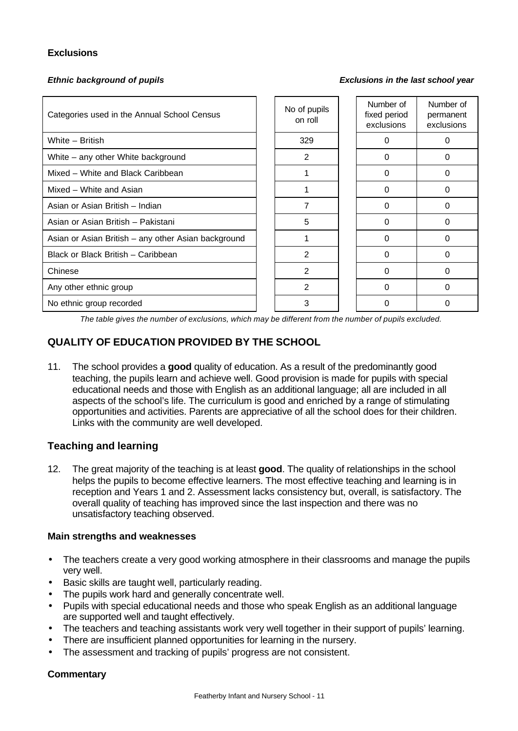### **Exclusions**

*Ethnic background of pupils Exclusions in the last school year*

| Categories used in the Annual School Census         | No of pupils<br>on roll | Number of<br>fixed period<br>exclusions | Number of<br>permanent<br>exclusions |
|-----------------------------------------------------|-------------------------|-----------------------------------------|--------------------------------------|
| White - British                                     | 329                     | 0                                       | 0                                    |
| White – any other White background                  | 2                       | 0                                       | 0                                    |
| Mixed - White and Black Caribbean                   |                         | 0                                       | 0                                    |
| Mixed - White and Asian                             |                         | $\Omega$                                | $\Omega$                             |
| Asian or Asian British - Indian                     | 7                       | $\Omega$                                | $\Omega$                             |
| Asian or Asian British - Pakistani                  | 5                       | 0                                       | 0                                    |
| Asian or Asian British – any other Asian background |                         | 0                                       | 0                                    |
| Black or Black British - Caribbean                  | 2                       | 0                                       | 0                                    |
| Chinese                                             | $\overline{2}$          | $\Omega$                                | $\Omega$                             |
| Any other ethnic group                              | $\overline{2}$          | $\Omega$                                | $\Omega$                             |
| No ethnic group recorded                            | 3                       |                                         | 0                                    |

*The table gives the number of exclusions, which may be different from the number of pupils excluded.*

# **QUALITY OF EDUCATION PROVIDED BY THE SCHOOL**

11. The school provides a **good** quality of education. As a result of the predominantly good teaching, the pupils learn and achieve well. Good provision is made for pupils with special educational needs and those with English as an additional language; all are included in all aspects of the school's life. The curriculum is good and enriched by a range of stimulating opportunities and activities. Parents are appreciative of all the school does for their children. Links with the community are well developed.

# **Teaching and learning**

12. The great majority of the teaching is at least **good**. The quality of relationships in the school helps the pupils to become effective learners. The most effective teaching and learning is in reception and Years 1 and 2. Assessment lacks consistency but, overall, is satisfactory. The overall quality of teaching has improved since the last inspection and there was no unsatisfactory teaching observed.

#### **Main strengths and weaknesses**

- The teachers create a very good working atmosphere in their classrooms and manage the pupils very well.
- Basic skills are taught well, particularly reading.
- The pupils work hard and generally concentrate well.
- Pupils with special educational needs and those who speak English as an additional language are supported well and taught effectively.
- The teachers and teaching assistants work very well together in their support of pupils' learning.
- There are insufficient planned opportunities for learning in the nursery.
- The assessment and tracking of pupils' progress are not consistent.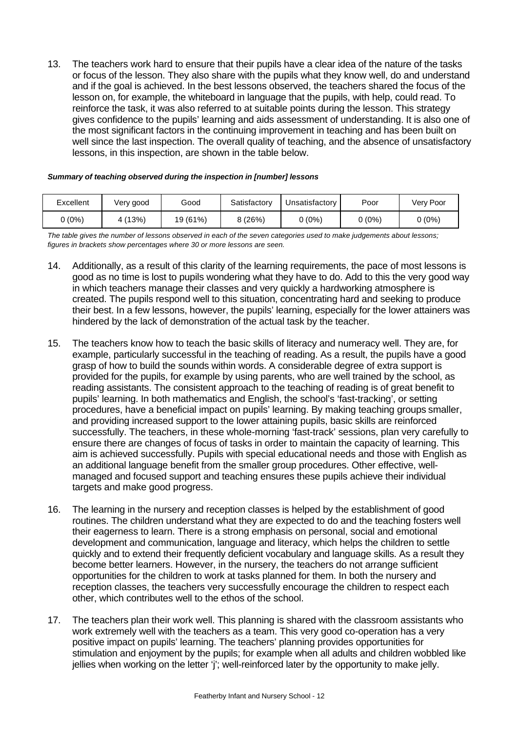13. The teachers work hard to ensure that their pupils have a clear idea of the nature of the tasks or focus of the lesson. They also share with the pupils what they know well, do and understand and if the goal is achieved. In the best lessons observed, the teachers shared the focus of the lesson on, for example, the whiteboard in language that the pupils, with help, could read. To reinforce the task, it was also referred to at suitable points during the lesson. This strategy gives confidence to the pupils' learning and aids assessment of understanding. It is also one of the most significant factors in the continuing improvement in teaching and has been built on well since the last inspection. The overall quality of teaching, and the absence of unsatisfactory lessons, in this inspection, are shown in the table below.

| Summary of teaching observed during the inspection in [number] lessons |  |
|------------------------------------------------------------------------|--|
|------------------------------------------------------------------------|--|

| Excellent | Very good | Good     | Satisfactory | Unsatisfactory | Poor     | Very Poor |
|-----------|-----------|----------|--------------|----------------|----------|-----------|
| (0%)      | 4(13%)    | 19 (61%) | 8(26%)       | 0 (0%)         | $0(0\%)$ | 0 (0%)    |

*The table gives the number of lessons observed in each of the seven categories used to make judgements about lessons; figures in brackets show percentages where 30 or more lessons are seen.*

- 14. Additionally, as a result of this clarity of the learning requirements, the pace of most lessons is good as no time is lost to pupils wondering what they have to do. Add to this the very good way in which teachers manage their classes and very quickly a hardworking atmosphere is created. The pupils respond well to this situation, concentrating hard and seeking to produce their best. In a few lessons, however, the pupils' learning, especially for the lower attainers was hindered by the lack of demonstration of the actual task by the teacher.
- 15. The teachers know how to teach the basic skills of literacy and numeracy well. They are, for example, particularly successful in the teaching of reading. As a result, the pupils have a good grasp of how to build the sounds within words. A considerable degree of extra support is provided for the pupils, for example by using parents, who are well trained by the school, as reading assistants. The consistent approach to the teaching of reading is of great benefit to pupils' learning. In both mathematics and English, the school's 'fast-tracking', or setting procedures, have a beneficial impact on pupils' learning. By making teaching groups smaller, and providing increased support to the lower attaining pupils, basic skills are reinforced successfully. The teachers, in these whole-morning 'fast-track' sessions, plan very carefully to ensure there are changes of focus of tasks in order to maintain the capacity of learning. This aim is achieved successfully. Pupils with special educational needs and those with English as an additional language benefit from the smaller group procedures. Other effective, wellmanaged and focused support and teaching ensures these pupils achieve their individual targets and make good progress.
- 16. The learning in the nursery and reception classes is helped by the establishment of good routines. The children understand what they are expected to do and the teaching fosters well their eagerness to learn. There is a strong emphasis on personal, social and emotional development and communication, language and literacy, which helps the children to settle quickly and to extend their frequently deficient vocabulary and language skills. As a result they become better learners. However, in the nursery, the teachers do not arrange sufficient opportunities for the children to work at tasks planned for them. In both the nursery and reception classes, the teachers very successfully encourage the children to respect each other, which contributes well to the ethos of the school.
- 17. The teachers plan their work well. This planning is shared with the classroom assistants who work extremely well with the teachers as a team. This very good co-operation has a very positive impact on pupils' learning. The teachers' planning provides opportunities for stimulation and enjoyment by the pupils; for example when all adults and children wobbled like jellies when working on the letter 'j'; well-reinforced later by the opportunity to make jelly.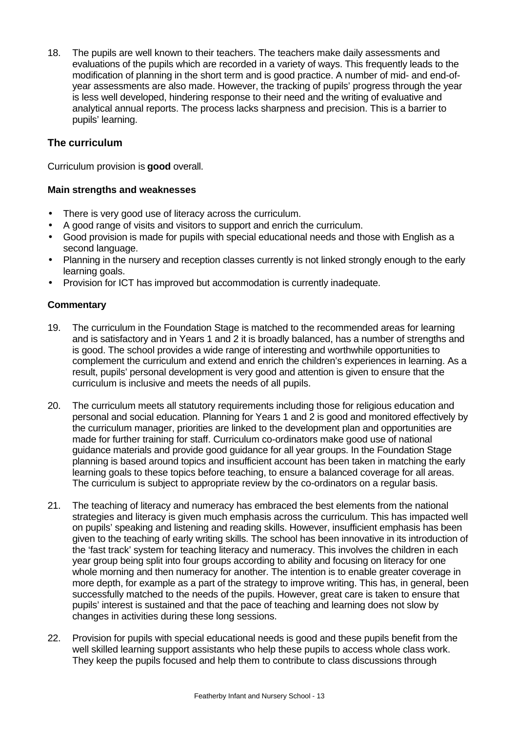18. The pupils are well known to their teachers. The teachers make daily assessments and evaluations of the pupils which are recorded in a variety of ways. This frequently leads to the modification of planning in the short term and is good practice. A number of mid- and end-ofyear assessments are also made. However, the tracking of pupils' progress through the year is less well developed, hindering response to their need and the writing of evaluative and analytical annual reports. The process lacks sharpness and precision. This is a barrier to pupils' learning.

# **The curriculum**

Curriculum provision is **good** overall.

### **Main strengths and weaknesses**

- There is very good use of literacy across the curriculum.
- A good range of visits and visitors to support and enrich the curriculum.
- Good provision is made for pupils with special educational needs and those with English as a second language.
- Planning in the nursery and reception classes currently is not linked strongly enough to the early learning goals.
- Provision for ICT has improved but accommodation is currently inadequate.

- 19. The curriculum in the Foundation Stage is matched to the recommended areas for learning and is satisfactory and in Years 1 and 2 it is broadly balanced, has a number of strengths and is good. The school provides a wide range of interesting and worthwhile opportunities to complement the curriculum and extend and enrich the children's experiences in learning. As a result, pupils' personal development is very good and attention is given to ensure that the curriculum is inclusive and meets the needs of all pupils.
- 20. The curriculum meets all statutory requirements including those for religious education and personal and social education. Planning for Years 1 and 2 is good and monitored effectively by the curriculum manager, priorities are linked to the development plan and opportunities are made for further training for staff. Curriculum co-ordinators make good use of national guidance materials and provide good guidance for all year groups. In the Foundation Stage planning is based around topics and insufficient account has been taken in matching the early learning goals to these topics before teaching, to ensure a balanced coverage for all areas. The curriculum is subject to appropriate review by the co-ordinators on a regular basis.
- 21. The teaching of literacy and numeracy has embraced the best elements from the national strategies and literacy is given much emphasis across the curriculum. This has impacted well on pupils' speaking and listening and reading skills. However, insufficient emphasis has been given to the teaching of early writing skills. The school has been innovative in its introduction of the 'fast track' system for teaching literacy and numeracy. This involves the children in each year group being split into four groups according to ability and focusing on literacy for one whole morning and then numeracy for another. The intention is to enable greater coverage in more depth, for example as a part of the strategy to improve writing. This has, in general, been successfully matched to the needs of the pupils. However, great care is taken to ensure that pupils' interest is sustained and that the pace of teaching and learning does not slow by changes in activities during these long sessions.
- 22. Provision for pupils with special educational needs is good and these pupils benefit from the well skilled learning support assistants who help these pupils to access whole class work. They keep the pupils focused and help them to contribute to class discussions through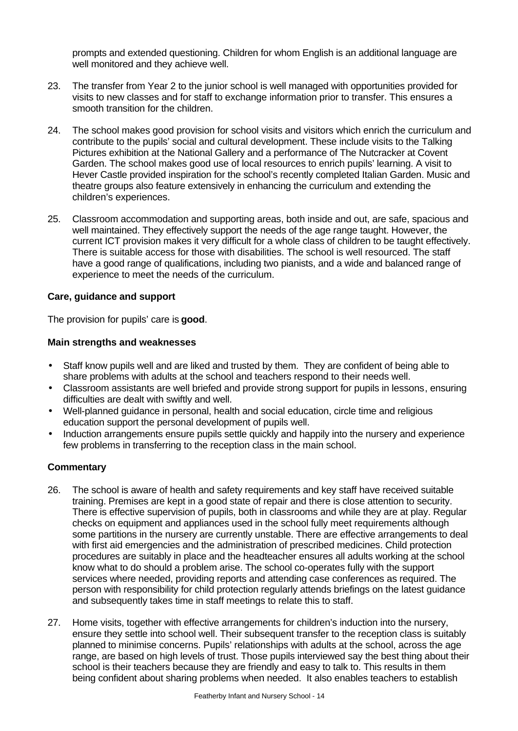prompts and extended questioning. Children for whom English is an additional language are well monitored and they achieve well.

- 23. The transfer from Year 2 to the junior school is well managed with opportunities provided for visits to new classes and for staff to exchange information prior to transfer. This ensures a smooth transition for the children.
- 24. The school makes good provision for school visits and visitors which enrich the curriculum and contribute to the pupils' social and cultural development. These include visits to the Talking Pictures exhibition at the National Gallery and a performance of The Nutcracker at Covent Garden. The school makes good use of local resources to enrich pupils' learning. A visit to Hever Castle provided inspiration for the school's recently completed Italian Garden. Music and theatre groups also feature extensively in enhancing the curriculum and extending the children's experiences.
- 25. Classroom accommodation and supporting areas, both inside and out, are safe, spacious and well maintained. They effectively support the needs of the age range taught. However, the current ICT provision makes it very difficult for a whole class of children to be taught effectively. There is suitable access for those with disabilities. The school is well resourced. The staff have a good range of qualifications, including two pianists, and a wide and balanced range of experience to meet the needs of the curriculum.

#### **Care, guidance and support**

The provision for pupils' care is **good**.

#### **Main strengths and weaknesses**

- Staff know pupils well and are liked and trusted by them. They are confident of being able to share problems with adults at the school and teachers respond to their needs well.
- Classroom assistants are well briefed and provide strong support for pupils in lessons, ensuring difficulties are dealt with swiftly and well.
- Well-planned guidance in personal, health and social education, circle time and religious education support the personal development of pupils well.
- Induction arrangements ensure pupils settle quickly and happily into the nursery and experience few problems in transferring to the reception class in the main school.

- 26. The school is aware of health and safety requirements and key staff have received suitable training. Premises are kept in a good state of repair and there is close attention to security. There is effective supervision of pupils, both in classrooms and while they are at play. Regular checks on equipment and appliances used in the school fully meet requirements although some partitions in the nursery are currently unstable. There are effective arrangements to deal with first aid emergencies and the administration of prescribed medicines. Child protection procedures are suitably in place and the headteacher ensures all adults working at the school know what to do should a problem arise. The school co-operates fully with the support services where needed, providing reports and attending case conferences as required. The person with responsibility for child protection regularly attends briefings on the latest guidance and subsequently takes time in staff meetings to relate this to staff.
- 27. Home visits, together with effective arrangements for children's induction into the nursery, ensure they settle into school well. Their subsequent transfer to the reception class is suitably planned to minimise concerns. Pupils' relationships with adults at the school, across the age range, are based on high levels of trust. Those pupils interviewed say the best thing about their school is their teachers because they are friendly and easy to talk to. This results in them being confident about sharing problems when needed. It also enables teachers to establish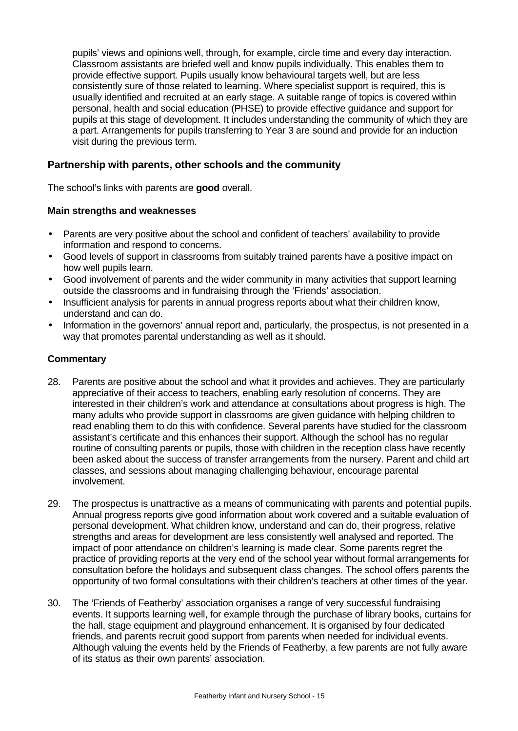pupils' views and opinions well, through, for example, circle time and every day interaction. Classroom assistants are briefed well and know pupils individually. This enables them to provide effective support. Pupils usually know behavioural targets well, but are less consistently sure of those related to learning. Where specialist support is required, this is usually identified and recruited at an early stage. A suitable range of topics is covered within personal, health and social education (PHSE) to provide effective guidance and support for pupils at this stage of development. It includes understanding the community of which they are a part. Arrangements for pupils transferring to Year 3 are sound and provide for an induction visit during the previous term.

### **Partnership with parents, other schools and the community**

The school's links with parents are **good** overall.

#### **Main strengths and weaknesses**

- Parents are very positive about the school and confident of teachers' availability to provide information and respond to concerns.
- Good levels of support in classrooms from suitably trained parents have a positive impact on how well pupils learn.
- Good involvement of parents and the wider community in many activities that support learning outside the classrooms and in fundraising through the 'Friends' association.
- Insufficient analysis for parents in annual progress reports about what their children know, understand and can do.
- Information in the governors' annual report and, particularly, the prospectus, is not presented in a way that promotes parental understanding as well as it should.

- 28. Parents are positive about the school and what it provides and achieves. They are particularly appreciative of their access to teachers, enabling early resolution of concerns. They are interested in their children's work and attendance at consultations about progress is high. The many adults who provide support in classrooms are given guidance with helping children to read enabling them to do this with confidence. Several parents have studied for the classroom assistant's certificate and this enhances their support. Although the school has no regular routine of consulting parents or pupils, those with children in the reception class have recently been asked about the success of transfer arrangements from the nursery. Parent and child art classes, and sessions about managing challenging behaviour, encourage parental involvement.
- 29. The prospectus is unattractive as a means of communicating with parents and potential pupils. Annual progress reports give good information about work covered and a suitable evaluation of personal development. What children know, understand and can do, their progress, relative strengths and areas for development are less consistently well analysed and reported. The impact of poor attendance on children's learning is made clear. Some parents regret the practice of providing reports at the very end of the school year without formal arrangements for consultation before the holidays and subsequent class changes. The school offers parents the opportunity of two formal consultations with their children's teachers at other times of the year.
- 30. The 'Friends of Featherby' association organises a range of very successful fundraising events. It supports learning well, for example through the purchase of library books, curtains for the hall, stage equipment and playground enhancement. It is organised by four dedicated friends, and parents recruit good support from parents when needed for individual events. Although valuing the events held by the Friends of Featherby, a few parents are not fully aware of its status as their own parents' association.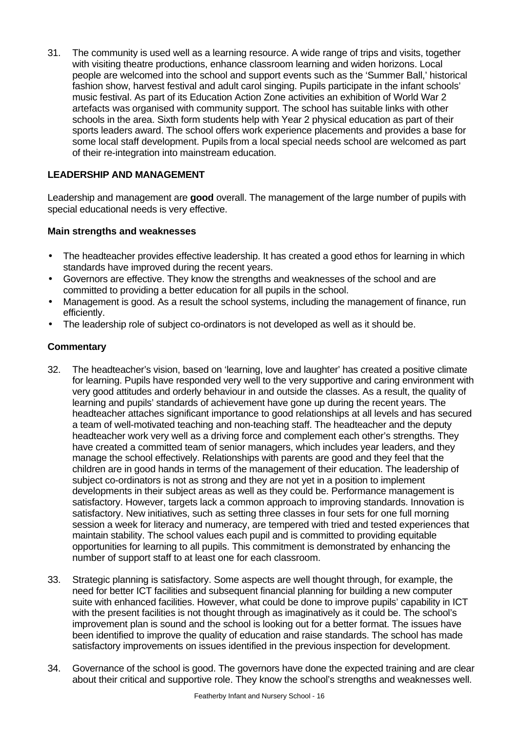31. The community is used well as a learning resource. A wide range of trips and visits, together with visiting theatre productions, enhance classroom learning and widen horizons. Local people are welcomed into the school and support events such as the 'Summer Ball,' historical fashion show, harvest festival and adult carol singing. Pupils participate in the infant schools' music festival. As part of its Education Action Zone activities an exhibition of World War 2 artefacts was organised with community support. The school has suitable links with other schools in the area. Sixth form students help with Year 2 physical education as part of their sports leaders award. The school offers work experience placements and provides a base for some local staff development. Pupils from a local special needs school are welcomed as part of their re-integration into mainstream education.

# **LEADERSHIP AND MANAGEMENT**

Leadership and management are **good** overall. The management of the large number of pupils with special educational needs is very effective.

# **Main strengths and weaknesses**

- The headteacher provides effective leadership. It has created a good ethos for learning in which standards have improved during the recent years.
- Governors are effective. They know the strengths and weaknesses of the school and are committed to providing a better education for all pupils in the school.
- Management is good. As a result the school systems, including the management of finance, run efficiently.
- The leadership role of subject co-ordinators is not developed as well as it should be.

- 32. The headteacher's vision, based on 'learning, love and laughter' has created a positive climate for learning. Pupils have responded very well to the very supportive and caring environment with very good attitudes and orderly behaviour in and outside the classes. As a result, the quality of learning and pupils' standards of achievement have gone up during the recent years. The headteacher attaches significant importance to good relationships at all levels and has secured a team of well-motivated teaching and non-teaching staff. The headteacher and the deputy headteacher work very well as a driving force and complement each other's strengths. They have created a committed team of senior managers, which includes year leaders, and they manage the school effectively. Relationships with parents are good and they feel that the children are in good hands in terms of the management of their education. The leadership of subject co-ordinators is not as strong and they are not yet in a position to implement developments in their subject areas as well as they could be. Performance management is satisfactory. However, targets lack a common approach to improving standards. Innovation is satisfactory. New initiatives, such as setting three classes in four sets for one full morning session a week for literacy and numeracy, are tempered with tried and tested experiences that maintain stability. The school values each pupil and is committed to providing equitable opportunities for learning to all pupils. This commitment is demonstrated by enhancing the number of support staff to at least one for each classroom.
- 33. Strategic planning is satisfactory. Some aspects are well thought through, for example, the need for better ICT facilities and subsequent financial planning for building a new computer suite with enhanced facilities. However, what could be done to improve pupils' capability in ICT with the present facilities is not thought through as imaginatively as it could be. The school's improvement plan is sound and the school is looking out for a better format. The issues have been identified to improve the quality of education and raise standards. The school has made satisfactory improvements on issues identified in the previous inspection for development.
- 34. Governance of the school is good. The governors have done the expected training and are clear about their critical and supportive role. They know the school's strengths and weaknesses well.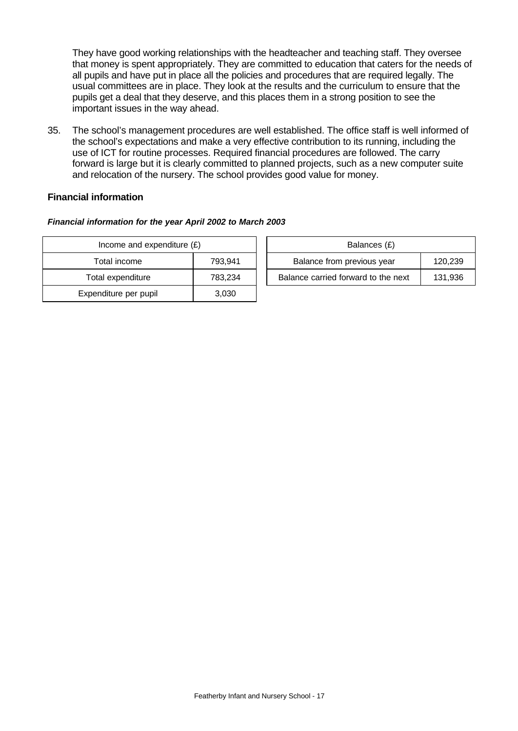They have good working relationships with the headteacher and teaching staff. They oversee that money is spent appropriately. They are committed to education that caters for the needs of all pupils and have put in place all the policies and procedures that are required legally. The usual committees are in place. They look at the results and the curriculum to ensure that the pupils get a deal that they deserve, and this places them in a strong position to see the important issues in the way ahead.

35. The school's management procedures are well established. The office staff is well informed of the school's expectations and make a very effective contribution to its running, including the use of ICT for routine processes. Required financial procedures are followed. The carry forward is large but it is clearly committed to planned projects, such as a new computer suite and relocation of the nursery. The school provides good value for money.

### **Financial information**

#### *Financial information for the year April 2002 to March 2003*

| Income and expenditure $(E)$ | Balances (£) |                                |
|------------------------------|--------------|--------------------------------|
| Total income                 | 793.941      | Balance from previous year     |
| Total expenditure            | 783,234      | Balance carried forward to the |
| Expenditure per pupil        | 3,030        |                                |

| Income and expenditure $(E)$ |         |                            | Balances (£)                        |         |
|------------------------------|---------|----------------------------|-------------------------------------|---------|
| Total income                 | 793.941 | Balance from previous year |                                     | 120,239 |
| Total expenditure            | 783.234 |                            | Balance carried forward to the next | 131,936 |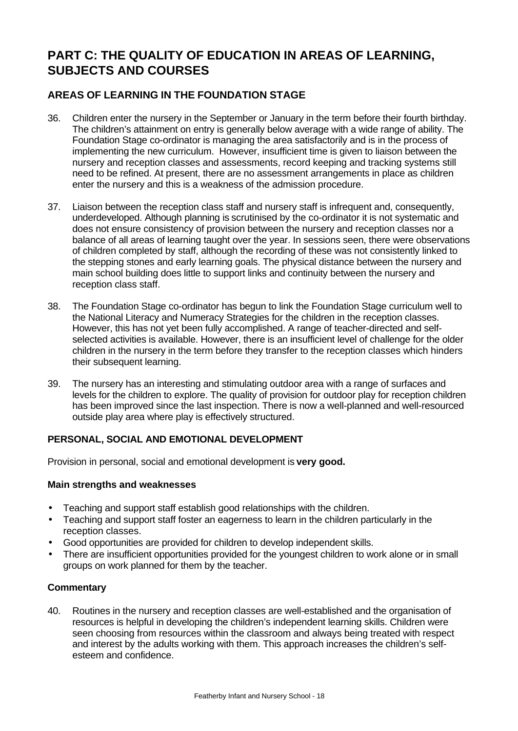# **PART C: THE QUALITY OF EDUCATION IN AREAS OF LEARNING, SUBJECTS AND COURSES**

# **AREAS OF LEARNING IN THE FOUNDATION STAGE**

- 36. Children enter the nursery in the September or January in the term before their fourth birthday. The children's attainment on entry is generally below average with a wide range of ability. The Foundation Stage co-ordinator is managing the area satisfactorily and is in the process of implementing the new curriculum. However, insufficient time is given to liaison between the nursery and reception classes and assessments, record keeping and tracking systems still need to be refined. At present, there are no assessment arrangements in place as children enter the nursery and this is a weakness of the admission procedure.
- 37. Liaison between the reception class staff and nursery staff is infrequent and, consequently, underdeveloped. Although planning is scrutinised by the co-ordinator it is not systematic and does not ensure consistency of provision between the nursery and reception classes nor a balance of all areas of learning taught over the year. In sessions seen, there were observations of children completed by staff, although the recording of these was not consistently linked to the stepping stones and early learning goals. The physical distance between the nursery and main school building does little to support links and continuity between the nursery and reception class staff.
- 38. The Foundation Stage co-ordinator has begun to link the Foundation Stage curriculum well to the National Literacy and Numeracy Strategies for the children in the reception classes. However, this has not yet been fully accomplished. A range of teacher-directed and selfselected activities is available. However, there is an insufficient level of challenge for the older children in the nursery in the term before they transfer to the reception classes which hinders their subsequent learning.
- 39. The nursery has an interesting and stimulating outdoor area with a range of surfaces and levels for the children to explore. The quality of provision for outdoor play for reception children has been improved since the last inspection. There is now a well-planned and well-resourced outside play area where play is effectively structured.

# **PERSONAL, SOCIAL AND EMOTIONAL DEVELOPMENT**

Provision in personal, social and emotional development is **very good.**

#### **Main strengths and weaknesses**

- Teaching and support staff establish good relationships with the children.
- Teaching and support staff foster an eagerness to learn in the children particularly in the reception classes.
- Good opportunities are provided for children to develop independent skills.
- There are insufficient opportunities provided for the youngest children to work alone or in small groups on work planned for them by the teacher.

# **Commentary**

40. Routines in the nursery and reception classes are well-established and the organisation of resources is helpful in developing the children's independent learning skills. Children were seen choosing from resources within the classroom and always being treated with respect and interest by the adults working with them. This approach increases the children's selfesteem and confidence.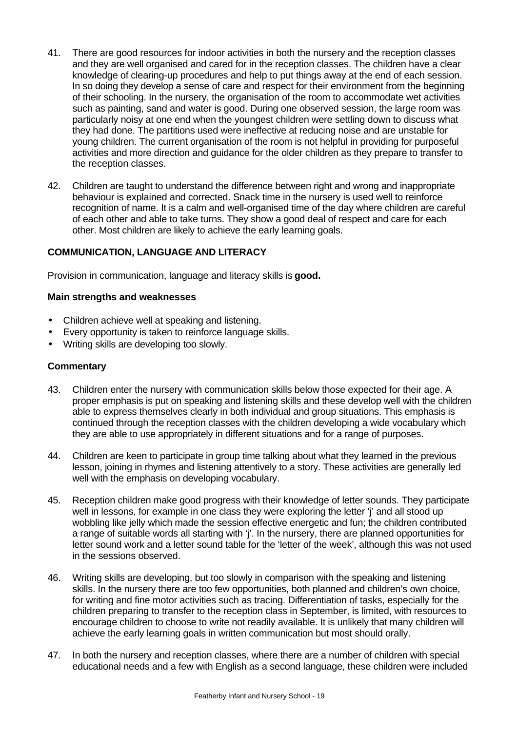- 41. There are good resources for indoor activities in both the nursery and the reception classes and they are well organised and cared for in the reception classes. The children have a clear knowledge of clearing-up procedures and help to put things away at the end of each session. In so doing they develop a sense of care and respect for their environment from the beginning of their schooling. In the nursery, the organisation of the room to accommodate wet activities such as painting, sand and water is good. During one observed session, the large room was particularly noisy at one end when the youngest children were settling down to discuss what they had done. The partitions used were ineffective at reducing noise and are unstable for young children. The current organisation of the room is not helpful in providing for purposeful activities and more direction and guidance for the older children as they prepare to transfer to the reception classes.
- 42. Children are taught to understand the difference between right and wrong and inappropriate behaviour is explained and corrected. Snack time in the nursery is used well to reinforce recognition of name. It is a calm and well-organised time of the day where children are careful of each other and able to take turns. They show a good deal of respect and care for each other. Most children are likely to achieve the early learning goals.

### **COMMUNICATION, LANGUAGE AND LITERACY**

Provision in communication, language and literacy skills is **good.**

#### **Main strengths and weaknesses**

- Children achieve well at speaking and listening.
- Every opportunity is taken to reinforce language skills.
- Writing skills are developing too slowly.

- 43. Children enter the nursery with communication skills below those expected for their age. A proper emphasis is put on speaking and listening skills and these develop well with the children able to express themselves clearly in both individual and group situations. This emphasis is continued through the reception classes with the children developing a wide vocabulary which they are able to use appropriately in different situations and for a range of purposes.
- 44. Children are keen to participate in group time talking about what they learned in the previous lesson, joining in rhymes and listening attentively to a story. These activities are generally led well with the emphasis on developing vocabulary.
- 45. Reception children make good progress with their knowledge of letter sounds. They participate well in lessons, for example in one class they were exploring the letter 'j' and all stood up wobbling like jelly which made the session effective energetic and fun; the children contributed a range of suitable words all starting with 'j'. In the nursery, there are planned opportunities for letter sound work and a letter sound table for the 'letter of the week', although this was not used in the sessions observed.
- 46. Writing skills are developing, but too slowly in comparison with the speaking and listening skills. In the nursery there are too few opportunities, both planned and children's own choice, for writing and fine motor activities such as tracing. Differentiation of tasks, especially for the children preparing to transfer to the reception class in September, is limited, with resources to encourage children to choose to write not readily available. It is unlikely that many children will achieve the early learning goals in written communication but most should orally.
- 47. In both the nursery and reception classes, where there are a number of children with special educational needs and a few with English as a second language, these children were included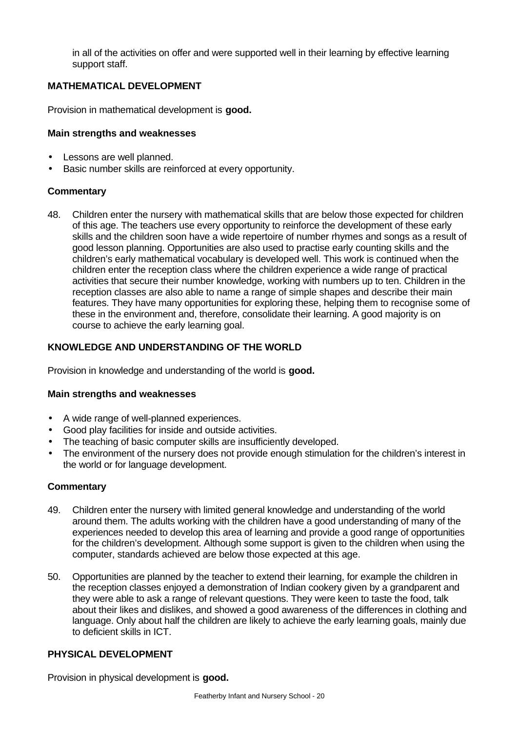in all of the activities on offer and were supported well in their learning by effective learning support staff.

### **MATHEMATICAL DEVELOPMENT**

Provision in mathematical development is **good.**

### **Main strengths and weaknesses**

- Lessons are well planned.
- Basic number skills are reinforced at every opportunity.

### **Commentary**

48. Children enter the nursery with mathematical skills that are below those expected for children of this age. The teachers use every opportunity to reinforce the development of these early skills and the children soon have a wide repertoire of number rhymes and songs as a result of good lesson planning. Opportunities are also used to practise early counting skills and the children's early mathematical vocabulary is developed well. This work is continued when the children enter the reception class where the children experience a wide range of practical activities that secure their number knowledge, working with numbers up to ten. Children in the reception classes are also able to name a range of simple shapes and describe their main features. They have many opportunities for exploring these, helping them to recognise some of these in the environment and, therefore, consolidate their learning. A good majority is on course to achieve the early learning goal.

# **KNOWLEDGE AND UNDERSTANDING OF THE WORLD**

Provision in knowledge and understanding of the world is **good.**

#### **Main strengths and weaknesses**

- A wide range of well-planned experiences.
- Good play facilities for inside and outside activities.
- The teaching of basic computer skills are insufficiently developed.
- The environment of the nursery does not provide enough stimulation for the children's interest in the world or for language development.

# **Commentary**

- 49. Children enter the nursery with limited general knowledge and understanding of the world around them. The adults working with the children have a good understanding of many of the experiences needed to develop this area of learning and provide a good range of opportunities for the children's development. Although some support is given to the children when using the computer, standards achieved are below those expected at this age.
- 50. Opportunities are planned by the teacher to extend their learning, for example the children in the reception classes enjoyed a demonstration of Indian cookery given by a grandparent and they were able to ask a range of relevant questions. They were keen to taste the food, talk about their likes and dislikes, and showed a good awareness of the differences in clothing and language. Only about half the children are likely to achieve the early learning goals, mainly due to deficient skills in ICT.

# **PHYSICAL DEVELOPMENT**

Provision in physical development is **good.**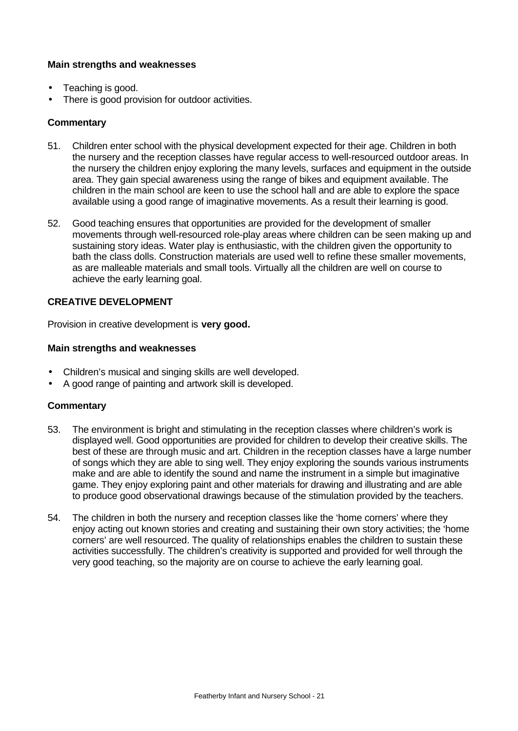#### **Main strengths and weaknesses**

- Teaching is good.
- There is good provision for outdoor activities.

#### **Commentary**

- 51. Children enter school with the physical development expected for their age. Children in both the nursery and the reception classes have regular access to well-resourced outdoor areas. In the nursery the children enjoy exploring the many levels, surfaces and equipment in the outside area. They gain special awareness using the range of bikes and equipment available. The children in the main school are keen to use the school hall and are able to explore the space available using a good range of imaginative movements. As a result their learning is good.
- 52. Good teaching ensures that opportunities are provided for the development of smaller movements through well-resourced role-play areas where children can be seen making up and sustaining story ideas. Water play is enthusiastic, with the children given the opportunity to bath the class dolls. Construction materials are used well to refine these smaller movements, as are malleable materials and small tools. Virtually all the children are well on course to achieve the early learning goal.

# **CREATIVE DEVELOPMENT**

Provision in creative development is **very good.**

#### **Main strengths and weaknesses**

- Children's musical and singing skills are well developed.
- A good range of painting and artwork skill is developed.

- 53. The environment is bright and stimulating in the reception classes where children's work is displayed well. Good opportunities are provided for children to develop their creative skills. The best of these are through music and art. Children in the reception classes have a large number of songs which they are able to sing well. They enjoy exploring the sounds various instruments make and are able to identify the sound and name the instrument in a simple but imaginative game. They enjoy exploring paint and other materials for drawing and illustrating and are able to produce good observational drawings because of the stimulation provided by the teachers.
- 54. The children in both the nursery and reception classes like the 'home corners' where they enjoy acting out known stories and creating and sustaining their own story activities; the 'home corners' are well resourced. The quality of relationships enables the children to sustain these activities successfully. The children's creativity is supported and provided for well through the very good teaching, so the majority are on course to achieve the early learning goal.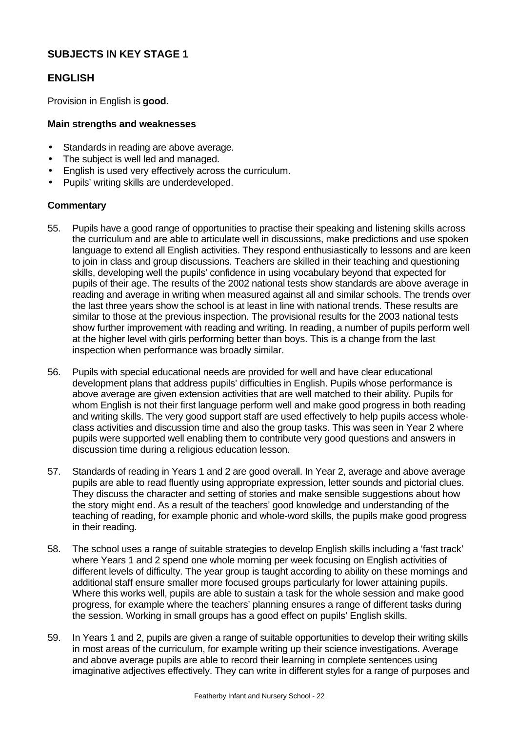# **SUBJECTS IN KEY STAGE 1**

# **ENGLISH**

Provision in English is **good.**

### **Main strengths and weaknesses**

- Standards in reading are above average.
- The subject is well led and managed.
- English is used very effectively across the curriculum.
- Pupils' writing skills are underdeveloped.

- 55. Pupils have a good range of opportunities to practise their speaking and listening skills across the curriculum and are able to articulate well in discussions, make predictions and use spoken language to extend all English activities. They respond enthusiastically to lessons and are keen to join in class and group discussions. Teachers are skilled in their teaching and questioning skills, developing well the pupils' confidence in using vocabulary beyond that expected for pupils of their age. The results of the 2002 national tests show standards are above average in reading and average in writing when measured against all and similar schools. The trends over the last three years show the school is at least in line with national trends. These results are similar to those at the previous inspection. The provisional results for the 2003 national tests show further improvement with reading and writing. In reading, a number of pupils perform well at the higher level with girls performing better than boys. This is a change from the last inspection when performance was broadly similar.
- 56. Pupils with special educational needs are provided for well and have clear educational development plans that address pupils' difficulties in English. Pupils whose performance is above average are given extension activities that are well matched to their ability. Pupils for whom English is not their first language perform well and make good progress in both reading and writing skills. The very good support staff are used effectively to help pupils access wholeclass activities and discussion time and also the group tasks. This was seen in Year 2 where pupils were supported well enabling them to contribute very good questions and answers in discussion time during a religious education lesson.
- 57. Standards of reading in Years 1 and 2 are good overall. In Year 2, average and above average pupils are able to read fluently using appropriate expression, letter sounds and pictorial clues. They discuss the character and setting of stories and make sensible suggestions about how the story might end. As a result of the teachers' good knowledge and understanding of the teaching of reading, for example phonic and whole-word skills, the pupils make good progress in their reading.
- 58. The school uses a range of suitable strategies to develop English skills including a 'fast track' where Years 1 and 2 spend one whole morning per week focusing on English activities of different levels of difficulty. The year group is taught according to ability on these mornings and additional staff ensure smaller more focused groups particularly for lower attaining pupils. Where this works well, pupils are able to sustain a task for the whole session and make good progress, for example where the teachers' planning ensures a range of different tasks during the session. Working in small groups has a good effect on pupils' English skills.
- 59. In Years 1 and 2, pupils are given a range of suitable opportunities to develop their writing skills in most areas of the curriculum, for example writing up their science investigations. Average and above average pupils are able to record their learning in complete sentences using imaginative adjectives effectively. They can write in different styles for a range of purposes and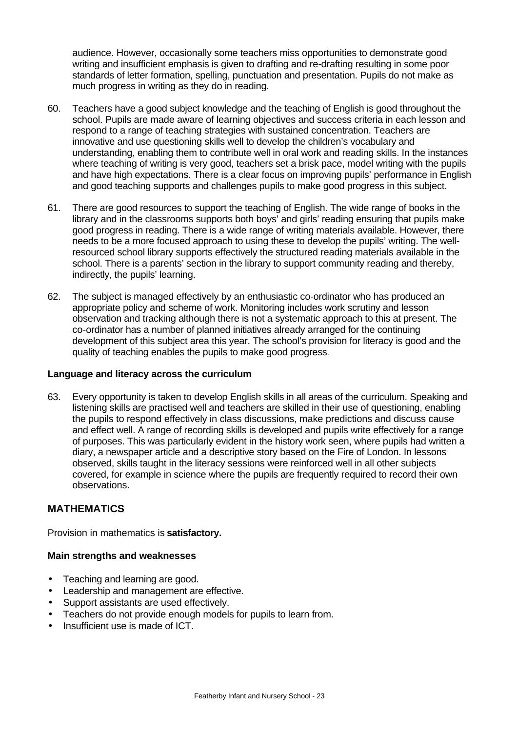audience. However, occasionally some teachers miss opportunities to demonstrate good writing and insufficient emphasis is given to drafting and re-drafting resulting in some poor standards of letter formation, spelling, punctuation and presentation. Pupils do not make as much progress in writing as they do in reading.

- 60. Teachers have a good subject knowledge and the teaching of English is good throughout the school. Pupils are made aware of learning objectives and success criteria in each lesson and respond to a range of teaching strategies with sustained concentration. Teachers are innovative and use questioning skills well to develop the children's vocabulary and understanding, enabling them to contribute well in oral work and reading skills. In the instances where teaching of writing is very good, teachers set a brisk pace, model writing with the pupils and have high expectations. There is a clear focus on improving pupils' performance in English and good teaching supports and challenges pupils to make good progress in this subject.
- 61. There are good resources to support the teaching of English. The wide range of books in the library and in the classrooms supports both boys' and girls' reading ensuring that pupils make good progress in reading. There is a wide range of writing materials available. However, there needs to be a more focused approach to using these to develop the pupils' writing. The wellresourced school library supports effectively the structured reading materials available in the school. There is a parents' section in the library to support community reading and thereby, indirectly, the pupils' learning.
- 62. The subject is managed effectively by an enthusiastic co-ordinator who has produced an appropriate policy and scheme of work. Monitoring includes work scrutiny and lesson observation and tracking although there is not a systematic approach to this at present. The co-ordinator has a number of planned initiatives already arranged for the continuing development of this subject area this year. The school's provision for literacy is good and the quality of teaching enables the pupils to make good progress.

#### **Language and literacy across the curriculum**

63. Every opportunity is taken to develop English skills in all areas of the curriculum. Speaking and listening skills are practised well and teachers are skilled in their use of questioning, enabling the pupils to respond effectively in class discussions, make predictions and discuss cause and effect well. A range of recording skills is developed and pupils write effectively for a range of purposes. This was particularly evident in the history work seen, where pupils had written a diary, a newspaper article and a descriptive story based on the Fire of London. In lessons observed, skills taught in the literacy sessions were reinforced well in all other subjects covered, for example in science where the pupils are frequently required to record their own observations.

# **MATHEMATICS**

Provision in mathematics is **satisfactory.**

#### **Main strengths and weaknesses**

- Teaching and learning are good.
- Leadership and management are effective.
- Support assistants are used effectively.
- Teachers do not provide enough models for pupils to learn from.
- Insufficient use is made of ICT.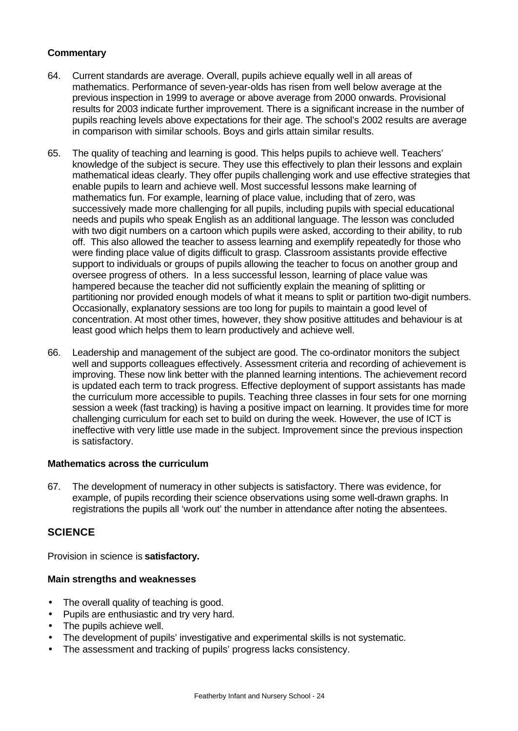# **Commentary**

- 64. Current standards are average. Overall, pupils achieve equally well in all areas of mathematics. Performance of seven-year-olds has risen from well below average at the previous inspection in 1999 to average or above average from 2000 onwards. Provisional results for 2003 indicate further improvement. There is a significant increase in the number of pupils reaching levels above expectations for their age. The school's 2002 results are average in comparison with similar schools. Boys and girls attain similar results.
- 65. The quality of teaching and learning is good. This helps pupils to achieve well. Teachers' knowledge of the subject is secure. They use this effectively to plan their lessons and explain mathematical ideas clearly. They offer pupils challenging work and use effective strategies that enable pupils to learn and achieve well. Most successful lessons make learning of mathematics fun. For example, learning of place value, including that of zero, was successively made more challenging for all pupils, including pupils with special educational needs and pupils who speak English as an additional language. The lesson was concluded with two digit numbers on a cartoon which pupils were asked, according to their ability, to rub off. This also allowed the teacher to assess learning and exemplify repeatedly for those who were finding place value of digits difficult to grasp. Classroom assistants provide effective support to individuals or groups of pupils allowing the teacher to focus on another group and oversee progress of others. In a less successful lesson, learning of place value was hampered because the teacher did not sufficiently explain the meaning of splitting or partitioning nor provided enough models of what it means to split or partition two-digit numbers. Occasionally, explanatory sessions are too long for pupils to maintain a good level of concentration. At most other times, however, they show positive attitudes and behaviour is at least good which helps them to learn productively and achieve well.
- 66. Leadership and management of the subject are good. The co-ordinator monitors the subject well and supports colleagues effectively. Assessment criteria and recording of achievement is improving. These now link better with the planned learning intentions. The achievement record is updated each term to track progress. Effective deployment of support assistants has made the curriculum more accessible to pupils. Teaching three classes in four sets for one morning session a week (fast tracking) is having a positive impact on learning. It provides time for more challenging curriculum for each set to build on during the week. However, the use of ICT is ineffective with very little use made in the subject. Improvement since the previous inspection is satisfactory.

#### **Mathematics across the curriculum**

67. The development of numeracy in other subjects is satisfactory. There was evidence, for example, of pupils recording their science observations using some well-drawn graphs. In registrations the pupils all 'work out' the number in attendance after noting the absentees.

# **SCIENCE**

Provision in science is **satisfactory.**

#### **Main strengths and weaknesses**

- The overall quality of teaching is good.
- Pupils are enthusiastic and try very hard.
- The pupils achieve well.
- The development of pupils' investigative and experimental skills is not systematic.
- The assessment and tracking of pupils' progress lacks consistency.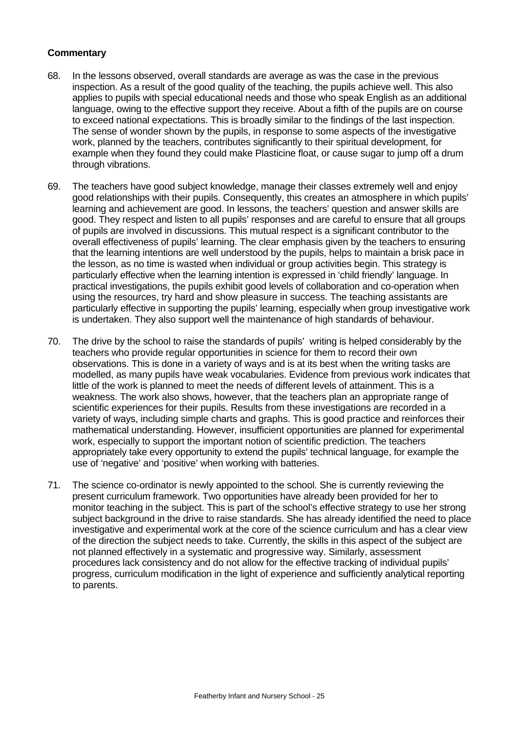- 68. In the lessons observed, overall standards are average as was the case in the previous inspection. As a result of the good quality of the teaching, the pupils achieve well. This also applies to pupils with special educational needs and those who speak English as an additional language, owing to the effective support they receive. About a fifth of the pupils are on course to exceed national expectations. This is broadly similar to the findings of the last inspection. The sense of wonder shown by the pupils, in response to some aspects of the investigative work, planned by the teachers, contributes significantly to their spiritual development, for example when they found they could make Plasticine float, or cause sugar to jump off a drum through vibrations.
- 69. The teachers have good subject knowledge, manage their classes extremely well and enjoy good relationships with their pupils. Consequently, this creates an atmosphere in which pupils' learning and achievement are good. In lessons, the teachers' question and answer skills are good. They respect and listen to all pupils' responses and are careful to ensure that all groups of pupils are involved in discussions. This mutual respect is a significant contributor to the overall effectiveness of pupils' learning. The clear emphasis given by the teachers to ensuring that the learning intentions are well understood by the pupils, helps to maintain a brisk pace in the lesson, as no time is wasted when individual or group activities begin. This strategy is particularly effective when the learning intention is expressed in 'child friendly' language. In practical investigations, the pupils exhibit good levels of collaboration and co-operation when using the resources, try hard and show pleasure in success. The teaching assistants are particularly effective in supporting the pupils' learning, especially when group investigative work is undertaken. They also support well the maintenance of high standards of behaviour.
- 70. The drive by the school to raise the standards of pupils' writing is helped considerably by the teachers who provide regular opportunities in science for them to record their own observations. This is done in a variety of ways and is at its best when the writing tasks are modelled, as many pupils have weak vocabularies. Evidence from previous work indicates that little of the work is planned to meet the needs of different levels of attainment. This is a weakness. The work also shows, however, that the teachers plan an appropriate range of scientific experiences for their pupils. Results from these investigations are recorded in a variety of ways, including simple charts and graphs. This is good practice and reinforces their mathematical understanding. However, insufficient opportunities are planned for experimental work, especially to support the important notion of scientific prediction. The teachers appropriately take every opportunity to extend the pupils' technical language, for example the use of 'negative' and 'positive' when working with batteries.
- 71. The science co-ordinator is newly appointed to the school. She is currently reviewing the present curriculum framework. Two opportunities have already been provided for her to monitor teaching in the subject. This is part of the school's effective strategy to use her strong subject background in the drive to raise standards. She has already identified the need to place investigative and experimental work at the core of the science curriculum and has a clear view of the direction the subject needs to take. Currently, the skills in this aspect of the subject are not planned effectively in a systematic and progressive way. Similarly, assessment procedures lack consistency and do not allow for the effective tracking of individual pupils' progress, curriculum modification in the light of experience and sufficiently analytical reporting to parents.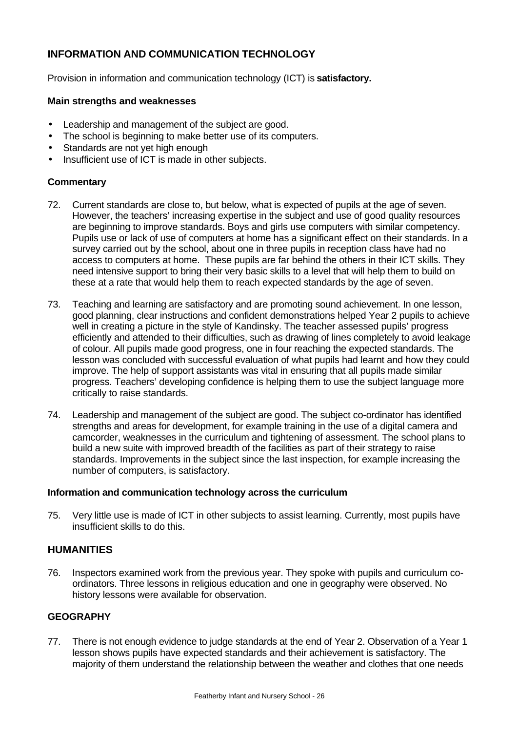# **INFORMATION AND COMMUNICATION TECHNOLOGY**

Provision in information and communication technology (ICT) is **satisfactory.**

#### **Main strengths and weaknesses**

- Leadership and management of the subject are good.
- The school is beginning to make better use of its computers.
- Standards are not yet high enough
- Insufficient use of ICT is made in other subjects.

#### **Commentary**

- 72. Current standards are close to, but below, what is expected of pupils at the age of seven. However, the teachers' increasing expertise in the subject and use of good quality resources are beginning to improve standards. Boys and girls use computers with similar competency. Pupils use or lack of use of computers at home has a significant effect on their standards. In a survey carried out by the school, about one in three pupils in reception class have had no access to computers at home. These pupils are far behind the others in their ICT skills. They need intensive support to bring their very basic skills to a level that will help them to build on these at a rate that would help them to reach expected standards by the age of seven.
- 73. Teaching and learning are satisfactory and are promoting sound achievement. In one lesson, good planning, clear instructions and confident demonstrations helped Year 2 pupils to achieve well in creating a picture in the style of Kandinsky. The teacher assessed pupils' progress efficiently and attended to their difficulties, such as drawing of lines completely to avoid leakage of colour. All pupils made good progress, one in four reaching the expected standards. The lesson was concluded with successful evaluation of what pupils had learnt and how they could improve. The help of support assistants was vital in ensuring that all pupils made similar progress. Teachers' developing confidence is helping them to use the subject language more critically to raise standards.
- 74. Leadership and management of the subject are good. The subject co-ordinator has identified strengths and areas for development, for example training in the use of a digital camera and camcorder, weaknesses in the curriculum and tightening of assessment. The school plans to build a new suite with improved breadth of the facilities as part of their strategy to raise standards. Improvements in the subject since the last inspection, for example increasing the number of computers, is satisfactory.

#### **Information and communication technology across the curriculum**

75. Very little use is made of ICT in other subjects to assist learning. Currently, most pupils have insufficient skills to do this.

# **HUMANITIES**

76. Inspectors examined work from the previous year. They spoke with pupils and curriculum coordinators. Three lessons in religious education and one in geography were observed. No history lessons were available for observation.

#### **GEOGRAPHY**

77. There is not enough evidence to judge standards at the end of Year 2. Observation of a Year 1 lesson shows pupils have expected standards and their achievement is satisfactory. The majority of them understand the relationship between the weather and clothes that one needs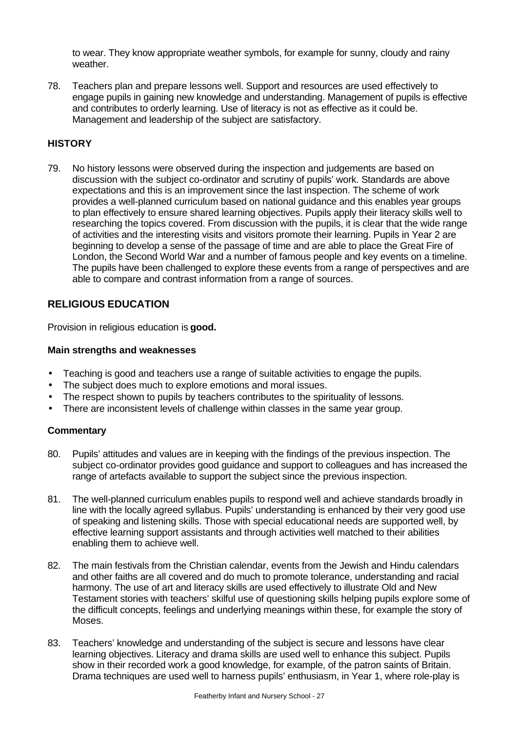to wear. They know appropriate weather symbols, for example for sunny, cloudy and rainy weather.

78. Teachers plan and prepare lessons well. Support and resources are used effectively to engage pupils in gaining new knowledge and understanding. Management of pupils is effective and contributes to orderly learning. Use of literacy is not as effective as it could be. Management and leadership of the subject are satisfactory.

# **HISTORY**

79. No history lessons were observed during the inspection and judgements are based on discussion with the subject co-ordinator and scrutiny of pupils' work. Standards are above expectations and this is an improvement since the last inspection. The scheme of work provides a well-planned curriculum based on national guidance and this enables year groups to plan effectively to ensure shared learning objectives. Pupils apply their literacy skills well to researching the topics covered. From discussion with the pupils, it is clear that the wide range of activities and the interesting visits and visitors promote their learning. Pupils in Year 2 are beginning to develop a sense of the passage of time and are able to place the Great Fire of London, the Second World War and a number of famous people and key events on a timeline. The pupils have been challenged to explore these events from a range of perspectives and are able to compare and contrast information from a range of sources.

# **RELIGIOUS EDUCATION**

Provision in religious education is **good.**

#### **Main strengths and weaknesses**

- Teaching is good and teachers use a range of suitable activities to engage the pupils.
- The subject does much to explore emotions and moral issues.
- The respect shown to pupils by teachers contributes to the spirituality of lessons.
- There are inconsistent levels of challenge within classes in the same year group.

- 80. Pupils' attitudes and values are in keeping with the findings of the previous inspection. The subject co-ordinator provides good guidance and support to colleagues and has increased the range of artefacts available to support the subject since the previous inspection.
- 81. The well-planned curriculum enables pupils to respond well and achieve standards broadly in line with the locally agreed syllabus. Pupils' understanding is enhanced by their very good use of speaking and listening skills. Those with special educational needs are supported well, by effective learning support assistants and through activities well matched to their abilities enabling them to achieve well.
- 82. The main festivals from the Christian calendar, events from the Jewish and Hindu calendars and other faiths are all covered and do much to promote tolerance, understanding and racial harmony. The use of art and literacy skills are used effectively to illustrate Old and New Testament stories with teachers' skilful use of questioning skills helping pupils explore some of the difficult concepts, feelings and underlying meanings within these, for example the story of Moses.
- 83. Teachers' knowledge and understanding of the subject is secure and lessons have clear learning objectives. Literacy and drama skills are used well to enhance this subject. Pupils show in their recorded work a good knowledge, for example, of the patron saints of Britain. Drama techniques are used well to harness pupils' enthusiasm, in Year 1, where role-play is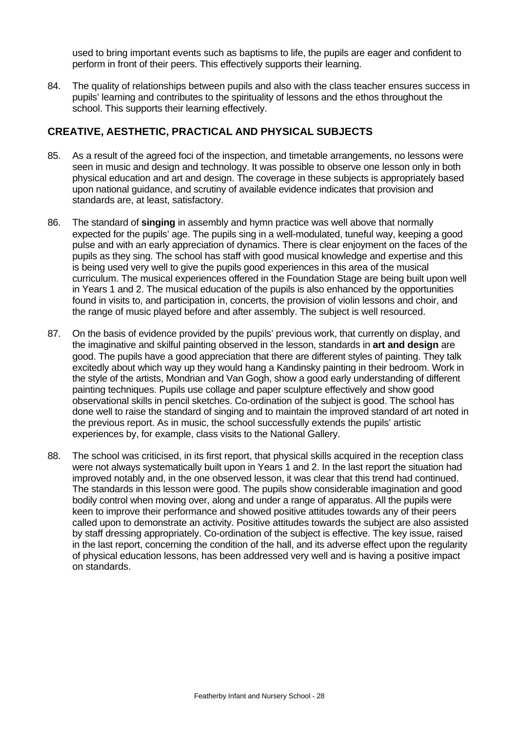used to bring important events such as baptisms to life, the pupils are eager and confident to perform in front of their peers. This effectively supports their learning.

84. The quality of relationships between pupils and also with the class teacher ensures success in pupils' learning and contributes to the spirituality of lessons and the ethos throughout the school. This supports their learning effectively.

# **CREATIVE, AESTHETIC, PRACTICAL AND PHYSICAL SUBJECTS**

- 85. As a result of the agreed foci of the inspection, and timetable arrangements, no lessons were seen in music and design and technology. It was possible to observe one lesson only in both physical education and art and design. The coverage in these subjects is appropriately based upon national guidance, and scrutiny of available evidence indicates that provision and standards are, at least, satisfactory.
- 86. The standard of **singing** in assembly and hymn practice was well above that normally expected for the pupils' age. The pupils sing in a well-modulated, tuneful way, keeping a good pulse and with an early appreciation of dynamics. There is clear enjoyment on the faces of the pupils as they sing. The school has staff with good musical knowledge and expertise and this is being used very well to give the pupils good experiences in this area of the musical curriculum. The musical experiences offered in the Foundation Stage are being built upon well in Years 1 and 2. The musical education of the pupils is also enhanced by the opportunities found in visits to, and participation in, concerts, the provision of violin lessons and choir, and the range of music played before and after assembly. The subject is well resourced.
- 87. On the basis of evidence provided by the pupils' previous work, that currently on display, and the imaginative and skilful painting observed in the lesson, standards in **art and design** are good. The pupils have a good appreciation that there are different styles of painting. They talk excitedly about which way up they would hang a Kandinsky painting in their bedroom. Work in the style of the artists, Mondrian and Van Gogh, show a good early understanding of different painting techniques. Pupils use collage and paper sculpture effectively and show good observational skills in pencil sketches. Co-ordination of the subject is good. The school has done well to raise the standard of singing and to maintain the improved standard of art noted in the previous report. As in music, the school successfully extends the pupils' artistic experiences by, for example, class visits to the National Gallery.
- 88. The school was criticised, in its first report, that physical skills acquired in the reception class were not always systematically built upon in Years 1 and 2. In the last report the situation had improved notably and, in the one observed lesson, it was clear that this trend had continued. The standards in this lesson were good. The pupils show considerable imagination and good bodily control when moving over, along and under a range of apparatus. All the pupils were keen to improve their performance and showed positive attitudes towards any of their peers called upon to demonstrate an activity. Positive attitudes towards the subject are also assisted by staff dressing appropriately. Co-ordination of the subject is effective. The key issue, raised in the last report, concerning the condition of the hall, and its adverse effect upon the regularity of physical education lessons, has been addressed very well and is having a positive impact on standards.